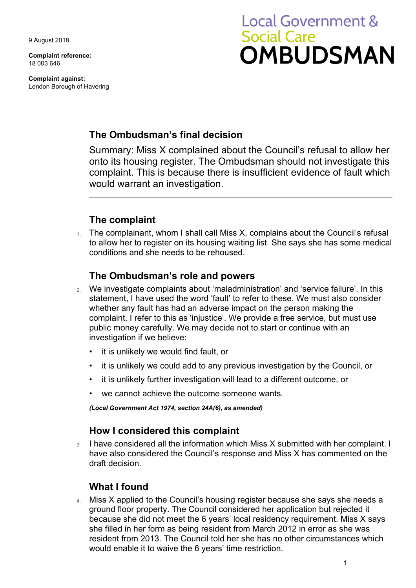9 August 2018

**Complaint reference:**  18 003 646

**Complaint against:**  London Borough of Havering

# **Local Government & Social Care OMBUDSMAN**

## **The Ombudsman's final decision**

Summary: Miss X complained about the Council's refusal to allow her onto its housing register. The Ombudsman should not investigate this complaint. This is because there is insufficient evidence of fault which would warrant an investigation.

## **The complaint**

1. The complainant, whom I shall call Miss X, complains about the Council's refusal to allow her to register on its housing waiting list. She says she has some medical conditions and she needs to be rehoused.

### **The Ombudsman's role and powers**

- 2. We investigate complaints about 'maladministration' and 'service failure'. In this statement, I have used the word 'fault' to refer to these. We must also consider whether any fault has had an adverse impact on the person making the complaint. I refer to this as 'injustice'. We provide a free service, but must use public money carefully. We may decide not to start or continue with an investigation if we believe:
	- it is unlikely we would find fault, or
	- it is unlikely we could add to any previous investigation by the Council, or
	- it is unlikely further investigation will lead to a different outcome, or
	- we cannot achieve the outcome someone wants.

*(Local Government Act 1974, section 24A(6), as amended)* 

#### **How I considered this complaint**

 have also considered the Council's response and Miss X has commented on the 3. I have considered all the information which Miss X submitted with her complaint. I draft decision.

## **What I found**

4. Miss X applied to the Council's housing register because she says she needs a ground floor property. The Council considered her application but rejected it because she did not meet the 6 years' local residency requirement. Miss X says she filled in her form as being resident from March 2012 in error as she was resident from 2013. The Council told her she has no other circumstances which would enable it to waive the 6 years' time restriction.